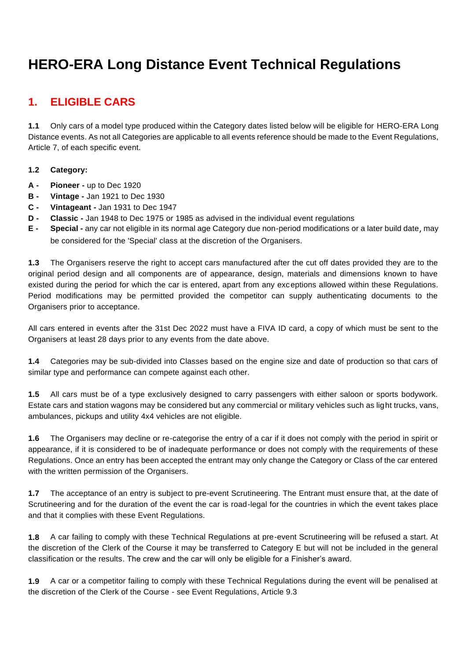# **HERO-ERA Long Distance Event Technical Regulations**

# **1. ELIGIBLE CARS**

**1.1** Only cars of a model type produced within the Category dates listed below will be eligible for HERO-ERA Long Distance events. As not all Categories are applicable to all events reference should be made to the Event Regulations, Article 7, of each specific event.

#### **1.2 Category:**

- **A - Pioneer -** up to Dec 1920
- **B - Vintage -** Jan 1921 to Dec 1930
- **C - Vintageant -** Jan 1931 to Dec 1947
- **D - Classic -** Jan 1948 to Dec 1975 or 1985 as advised in the individual event regulations
- **E - Special -** any car not eligible in its normal age Category due non-period modifications or a later build date, may be considered for the 'Special' class at the discretion of the Organisers.

**1.3** The Organisers reserve the right to accept cars manufactured after the cut off dates provided they are to the original period design and all components are of appearance, design, materials and dimensions known to have existed during the period for which the car is entered, apart from any exceptions allowed within these Regulations. Period modifications may be permitted provided the competitor can supply authenticating documents to the Organisers prior to acceptance.

All cars entered in events after the 31st Dec 2022 must have a FIVA ID card, a copy of which must be sent to the Organisers at least 28 days prior to any events from the date above.

**1.4** Categories may be sub-divided into Classes based on the engine size and date of production so that cars of similar type and performance can compete against each other.

**1.5** All cars must be of a type exclusively designed to carry passengers with either saloon or sports bodywork. Estate cars and station wagons may be considered but any commercial or military vehicles such as light trucks, vans, ambulances, pickups and utility 4x4 vehicles are not eligible.

**1.6** The Organisers may decline or re-categorise the entry of a car if it does not comply with the period in spirit or appearance, if it is considered to be of inadequate performance or does not comply with the requirements of these Regulations. Once an entry has been accepted the entrant may only change the Category or Class of the car entered with the written permission of the Organisers.

**1.7** The acceptance of an entry is subject to pre-event Scrutineering. The Entrant must ensure that, at the date of Scrutineering and for the duration of the event the car is road-legal for the countries in which the event takes place and that it complies with these Event Regulations.

**1.8** A car failing to comply with these Technical Regulations at pre-event Scrutineering will be refused a start. At the discretion of the Clerk of the Course it may be transferred to Category E but will not be included in the general classification or the results. The crew and the car will only be eligible for a Finisher's award.

**1.9** A car or a competitor failing to comply with these Technical Regulations during the event will be penalised at the discretion of the Clerk of the Course - see Event Regulations, Article 9.3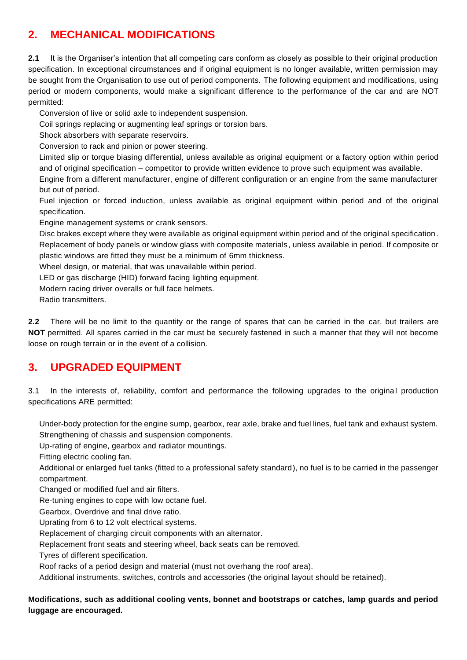# **2. MECHANICAL MODIFICATIONS**

**2.1** It is the Organiser's intention that all competing cars conform as closely as possible to their original production specification. In exceptional circumstances and if original equipment is no longer available, written permission may be sought from the Organisation to use out of period components. The following equipment and modifications, using period or modern components, would make a significant difference to the performance of the car and are NOT permitted:

Conversion of live or solid axle to independent suspension.

Coil springs replacing or augmenting leaf springs or torsion bars.

Shock absorbers with separate reservoirs.

Conversion to rack and pinion or power steering.

Limited slip or torque biasing differential, unless available as original equipment or a factory option within period and of original specification – competitor to provide written evidence to prove such equipment was available.

Engine from a different manufacturer, engine of different configuration or an engine from the same manufacturer but out of period.

Fuel injection or forced induction, unless available as original equipment within period and of the original specification.

Engine management systems or crank sensors.

Disc brakes except where they were available as original equipment within period and of the original specification. Replacement of body panels or window glass with composite materials, unless available in period. If composite or plastic windows are fitted they must be a minimum of 6mm thickness.

Wheel design, or material, that was unavailable within period.

LED or gas discharge (HID) forward facing lighting equipment.

Modern racing driver overalls or full face helmets.

Radio transmitters.

**2.2** There will be no limit to the quantity or the range of spares that can be carried in the car, but trailers are **NOT** permitted. All spares carried in the car must be securely fastened in such a manner that they will not become loose on rough terrain or in the event of a collision.

## **3. UPGRADED EQUIPMENT**

3.1 In the interests of, reliability, comfort and performance the following upgrades to the original production specifications ARE permitted:

Under-body protection for the engine sump, gearbox, rear axle, brake and fuel lines, fuel tank and exhaust system. Strengthening of chassis and suspension components.

Up-rating of engine, gearbox and radiator mountings.

Fitting electric cooling fan.

Additional or enlarged fuel tanks (fitted to a professional safety standard), no fuel is to be carried in the passenger compartment.

Changed or modified fuel and air filters.

Re-tuning engines to cope with low octane fuel.

Gearbox, Overdrive and final drive ratio.

Uprating from 6 to 12 volt electrical systems.

Replacement of charging circuit components with an alternator.

Replacement front seats and steering wheel, back seats can be removed.

Tyres of different specification.

Roof racks of a period design and material (must not overhang the roof area).

Additional instruments, switches, controls and accessories (the original layout should be retained).

#### **Modifications, such as additional cooling vents, bonnet and bootstraps or catches, lamp guards and period luggage are encouraged.**